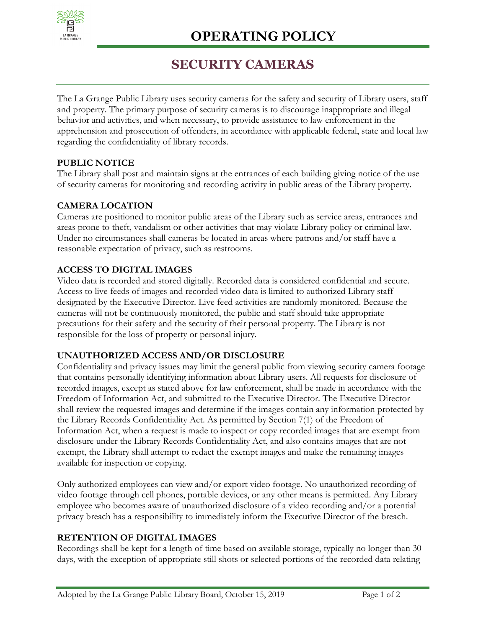

# **SECURITY CAMERAS**

The La Grange Public Library uses security cameras for the safety and security of Library users, staff and property. The primary purpose of security cameras is to discourage inappropriate and illegal behavior and activities, and when necessary, to provide assistance to law enforcement in the apprehension and prosecution of offenders, in accordance with applicable federal, state and local law regarding the confidentiality of library records.

## **PUBLIC NOTICE**

The Library shall post and maintain signs at the entrances of each building giving notice of the use of security cameras for monitoring and recording activity in public areas of the Library property.

# **CAMERA LOCATION**

Cameras are positioned to monitor public areas of the Library such as service areas, entrances and areas prone to theft, vandalism or other activities that may violate Library policy or criminal law. Under no circumstances shall cameras be located in areas where patrons and/or staff have a reasonable expectation of privacy, such as restrooms.

## **ACCESS TO DIGITAL IMAGES**

Video data is recorded and stored digitally. Recorded data is considered confidential and secure. Access to live feeds of images and recorded video data is limited to authorized Library staff designated by the Executive Director. Live feed activities are randomly monitored. Because the cameras will not be continuously monitored, the public and staff should take appropriate precautions for their safety and the security of their personal property. The Library is not responsible for the loss of property or personal injury.

### **UNAUTHORIZED ACCESS AND/OR DISCLOSURE**

Confidentiality and privacy issues may limit the general public from viewing security camera footage that contains personally identifying information about Library users. All requests for disclosure of recorded images, except as stated above for law enforcement, shall be made in accordance with the Freedom of Information Act, and submitted to the Executive Director. The Executive Director shall review the requested images and determine if the images contain any information protected by the Library Records Confidentiality Act. As permitted by Section 7(1) of the Freedom of Information Act, when a request is made to inspect or copy recorded images that are exempt from disclosure under the Library Records Confidentiality Act, and also contains images that are not exempt, the Library shall attempt to redact the exempt images and make the remaining images available for inspection or copying.

Only authorized employees can view and/or export video footage. No unauthorized recording of video footage through cell phones, portable devices, or any other means is permitted. Any Library employee who becomes aware of unauthorized disclosure of a video recording and/or a potential privacy breach has a responsibility to immediately inform the Executive Director of the breach.

### **RETENTION OF DIGITAL IMAGES**

Recordings shall be kept for a length of time based on available storage, typically no longer than 30 days, with the exception of appropriate still shots or selected portions of the recorded data relating